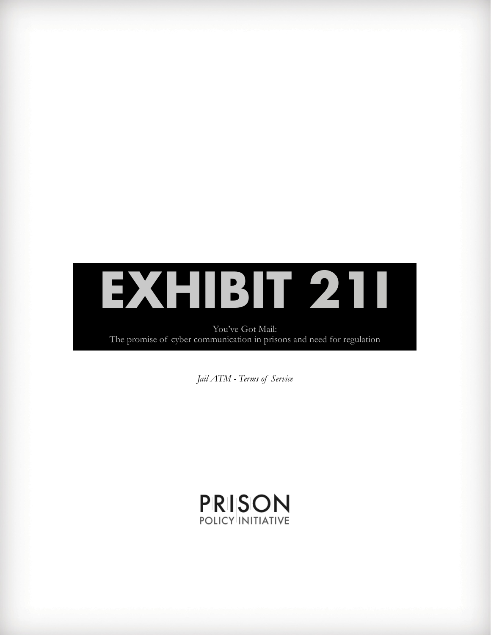

You've Got Mail: The promise of cyber communication in prisons and need for regulation

*Jail ATM - Terms of Service*

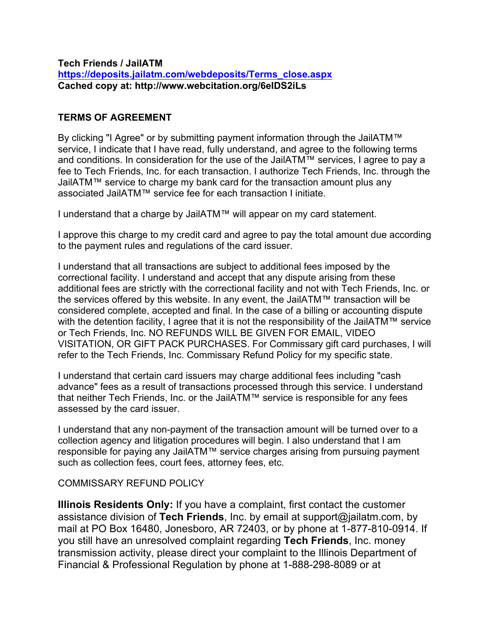#### **Tech Friends / JailATM https://deposits.jailatm.com/webdeposits/Terms\_close.aspx Cached copy at: http://www.webcitation.org/6eIDS2iLs**

# **TERMS OF AGREEMENT**

By clicking "I Agree" or by submitting payment information through the JailATM™ service, I indicate that I have read, fully understand, and agree to the following terms and conditions. In consideration for the use of the JailATM™ services, I agree to pay a fee to Tech Friends, Inc. for each transaction. I authorize Tech Friends, Inc. through the JailATM™ service to charge my bank card for the transaction amount plus any associated JailATM™ service fee for each transaction I initiate.

I understand that a charge by JailATM™ will appear on my card statement.

I approve this charge to my credit card and agree to pay the total amount due according to the payment rules and regulations of the card issuer.

I understand that all transactions are subject to additional fees imposed by the correctional facility. I understand and accept that any dispute arising from these additional fees are strictly with the correctional facility and not with Tech Friends, Inc. or the services offered by this website. In any event, the JailATM™ transaction will be considered complete, accepted and final. In the case of a billing or accounting dispute with the detention facility, I agree that it is not the responsibility of the JailATM™ service or Tech Friends, Inc. NO REFUNDS WILL BE GIVEN FOR EMAIL, VIDEO VISITATION, OR GIFT PACK PURCHASES. For Commissary gift card purchases, I will refer to the Tech Friends, Inc. Commissary Refund Policy for my specific state.

I understand that certain card issuers may charge additional fees including "cash advance" fees as a result of transactions processed through this service. I understand that neither Tech Friends, Inc. or the JailATM™ service is responsible for any fees assessed by the card issuer.

I understand that any non-payment of the transaction amount will be turned over to a collection agency and litigation procedures will begin. I also understand that I am responsible for paying any JailATM™ service charges arising from pursuing payment such as collection fees, court fees, attorney fees, etc.

### COMMISSARY REFUND POLICY

**Illinois Residents Only:** If you have a complaint, first contact the customer assistance division of **Tech Friends**, Inc. by email at support@jailatm.com, by mail at PO Box 16480, Jonesboro, AR 72403, or by phone at 1-877-810-0914. If you still have an unresolved complaint regarding **Tech Friends**, Inc. money transmission activity, please direct your complaint to the Illinois Department of Financial & Professional Regulation by phone at 1-888-298-8089 or at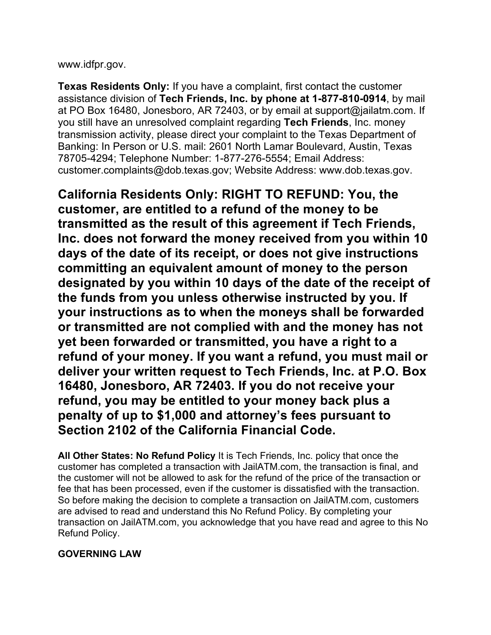www.idfpr.gov.

**Texas Residents Only:** If you have a complaint, first contact the customer assistance division of **Tech Friends, Inc. by phone at 1-877-810-0914**, by mail at PO Box 16480, Jonesboro, AR 72403, or by email at support@jailatm.com. If you still have an unresolved complaint regarding **Tech Friends**, Inc. money transmission activity, please direct your complaint to the Texas Department of Banking: In Person or U.S. mail: 2601 North Lamar Boulevard, Austin, Texas 78705-4294; Telephone Number: 1-877-276-5554; Email Address: customer.complaints@dob.texas.gov; Website Address: www.dob.texas.gov.

**California Residents Only: RIGHT TO REFUND: You, the customer, are entitled to a refund of the money to be transmitted as the result of this agreement if Tech Friends, Inc. does not forward the money received from you within 10 days of the date of its receipt, or does not give instructions committing an equivalent amount of money to the person designated by you within 10 days of the date of the receipt of the funds from you unless otherwise instructed by you. If your instructions as to when the moneys shall be forwarded or transmitted are not complied with and the money has not yet been forwarded or transmitted, you have a right to a refund of your money. If you want a refund, you must mail or deliver your written request to Tech Friends, Inc. at P.O. Box 16480, Jonesboro, AR 72403. If you do not receive your refund, you may be entitled to your money back plus a penalty of up to \$1,000 and attorney's fees pursuant to Section 2102 of the California Financial Code.**

**All Other States: No Refund Policy** It is Tech Friends, Inc. policy that once the customer has completed a transaction with JailATM.com, the transaction is final, and the customer will not be allowed to ask for the refund of the price of the transaction or fee that has been processed, even if the customer is dissatisfied with the transaction. So before making the decision to complete a transaction on JailATM.com, customers are advised to read and understand this No Refund Policy. By completing your transaction on JailATM.com, you acknowledge that you have read and agree to this No Refund Policy.

# **GOVERNING LAW**